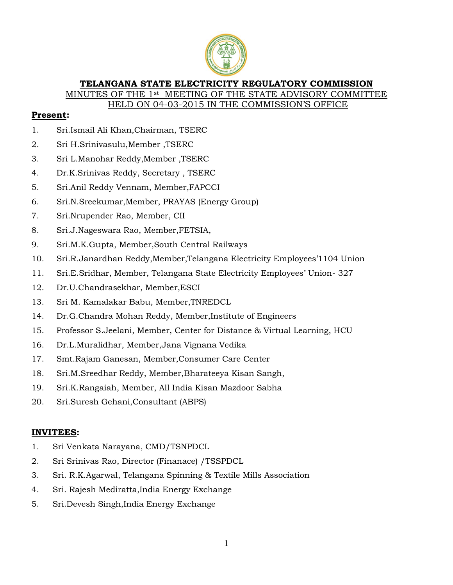

#### **TELANGANA STATE ELECTRICITY REGULATORY COMMISSION**

MINUTES OF THE 1st MEETING OF THE STATE ADVISORY COMMITTEE

#### HELD ON 04-03-2015 IN THE COMMISSION'S OFFICE

#### **Present:**

- 1. Sri.Ismail Ali Khan,Chairman, TSERC
- 2. Sri H.Srinivasulu,Member ,TSERC
- 3. Sri L.Manohar Reddy,Member ,TSERC
- 4. Dr.K.Srinivas Reddy, Secretary , TSERC
- 5. Sri.Anil Reddy Vennam, Member,FAPCCI
- 6. Sri.N.Sreekumar,Member, PRAYAS (Energy Group)
- 7. Sri.Nrupender Rao, Member, CII
- 8. Sri.J.Nageswara Rao, Member,FETSIA,
- 9. Sri.M.K.Gupta, Member,South Central Railways
- 10. Sri.R.Janardhan Reddy,Member,Telangana Electricity Employees'1104 Union
- 11. Sri.E.Sridhar, Member, Telangana State Electricity Employees' Union- 327
- 12. Dr.U.Chandrasekhar, Member,ESCI
- 13. Sri M. Kamalakar Babu, Member,TNREDCL
- 14. Dr.G.Chandra Mohan Reddy, Member,Institute of Engineers
- 15. Professor S.Jeelani, Member, Center for Distance & Virtual Learning, HCU
- 16. Dr.L.Muralidhar, Member,Jana Vignana Vedika
- 17. Smt.Rajam Ganesan, Member,Consumer Care Center
- 18. Sri.M.Sreedhar Reddy, Member,Bharateeya Kisan Sangh,
- 19. Sri.K.Rangaiah, Member, All India Kisan Mazdoor Sabha
- 20. Sri.Suresh Gehani,Consultant (ABPS)

### **INVITEES:**

- 1. Sri Venkata Narayana, CMD/TSNPDCL
- 2. Sri Srinivas Rao, Director (Finanace) /TSSPDCL
- 3. Sri. R.K.Agarwal, Telangana Spinning & Textile Mills Association
- 4. Sri. Rajesh Mediratta,India Energy Exchange
- 5. Sri.Devesh Singh,India Energy Exchange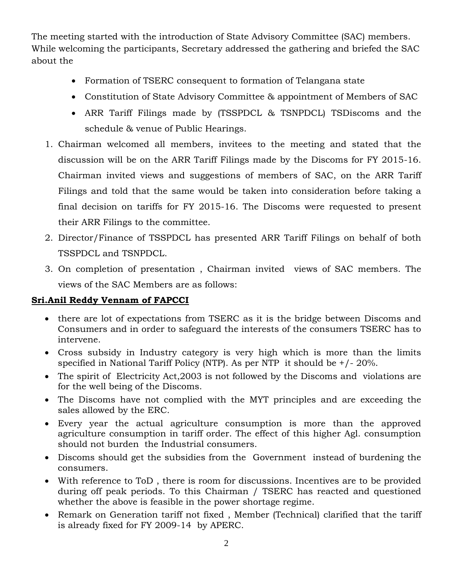The meeting started with the introduction of State Advisory Committee (SAC) members. While welcoming the participants, Secretary addressed the gathering and briefed the SAC about the

- Formation of TSERC consequent to formation of Telangana state
- Constitution of State Advisory Committee & appointment of Members of SAC
- ARR Tariff Filings made by (TSSPDCL & TSNPDCL) TSDiscoms and the schedule & venue of Public Hearings.
- 1. Chairman welcomed all members, invitees to the meeting and stated that the discussion will be on the ARR Tariff Filings made by the Discoms for FY 2015-16. Chairman invited views and suggestions of members of SAC, on the ARR Tariff Filings and told that the same would be taken into consideration before taking a final decision on tariffs for FY 2015-16. The Discoms were requested to present their ARR Filings to the committee.
- 2. Director/Finance of TSSPDCL has presented ARR Tariff Filings on behalf of both TSSPDCL and TSNPDCL.
- 3. On completion of presentation , Chairman invited views of SAC members. The views of the SAC Members are as follows:

### **Sri.Anil Reddy Vennam of FAPCCI**

- there are lot of expectations from TSERC as it is the bridge between Discoms and Consumers and in order to safeguard the interests of the consumers TSERC has to intervene.
- Cross subsidy in Industry category is very high which is more than the limits specified in National Tariff Policy (NTP). As per NTP it should be  $+/- 20\%$ .
- The spirit of Electricity Act, 2003 is not followed by the Discoms and violations are for the well being of the Discoms.
- The Discoms have not complied with the MYT principles and are exceeding the sales allowed by the ERC.
- Every year the actual agriculture consumption is more than the approved agriculture consumption in tariff order. The effect of this higher Agl. consumption should not burden the Industrial consumers.
- Discoms should get the subsidies from the Government instead of burdening the consumers.
- With reference to ToD , there is room for discussions. Incentives are to be provided during off peak periods. To this Chairman / TSERC has reacted and questioned whether the above is feasible in the power shortage regime.
- Remark on Generation tariff not fixed , Member (Technical) clarified that the tariff is already fixed for FY 2009-14 by APERC.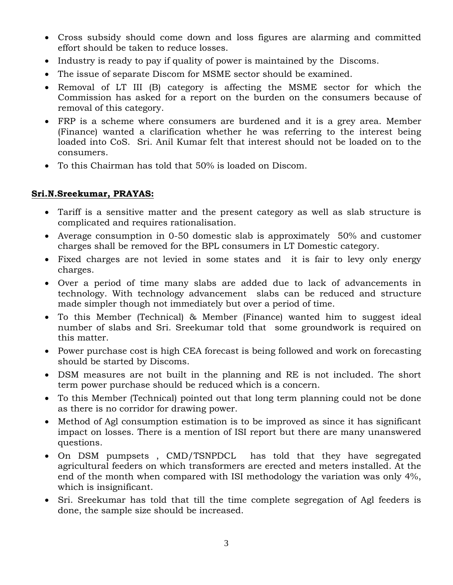- Cross subsidy should come down and loss figures are alarming and committed effort should be taken to reduce losses.
- Industry is ready to pay if quality of power is maintained by the Discoms.
- The issue of separate Discom for MSME sector should be examined.
- Removal of LT III (B) category is affecting the MSME sector for which the Commission has asked for a report on the burden on the consumers because of removal of this category.
- FRP is a scheme where consumers are burdened and it is a grey area. Member (Finance) wanted a clarification whether he was referring to the interest being loaded into CoS. Sri. Anil Kumar felt that interest should not be loaded on to the consumers.
- To this Chairman has told that 50% is loaded on Discom.

#### **Sri.N.Sreekumar, PRAYAS:**

- Tariff is a sensitive matter and the present category as well as slab structure is complicated and requires rationalisation.
- Average consumption in 0-50 domestic slab is approximately 50% and customer charges shall be removed for the BPL consumers in LT Domestic category.
- Fixed charges are not levied in some states and it is fair to levy only energy charges.
- Over a period of time many slabs are added due to lack of advancements in technology. With technology advancement slabs can be reduced and structure made simpler though not immediately but over a period of time.
- To this Member (Technical) & Member (Finance) wanted him to suggest ideal number of slabs and Sri. Sreekumar told that some groundwork is required on this matter.
- Power purchase cost is high CEA forecast is being followed and work on forecasting should be started by Discoms.
- DSM measures are not built in the planning and RE is not included. The short term power purchase should be reduced which is a concern.
- To this Member (Technical) pointed out that long term planning could not be done as there is no corridor for drawing power.
- Method of Agl consumption estimation is to be improved as since it has significant impact on losses. There is a mention of ISI report but there are many unanswered questions.
- On DSM pumpsets , CMD/TSNPDCL has told that they have segregated agricultural feeders on which transformers are erected and meters installed. At the end of the month when compared with ISI methodology the variation was only 4%, which is insignificant.
- Sri. Sreekumar has told that till the time complete segregation of Agl feeders is done, the sample size should be increased.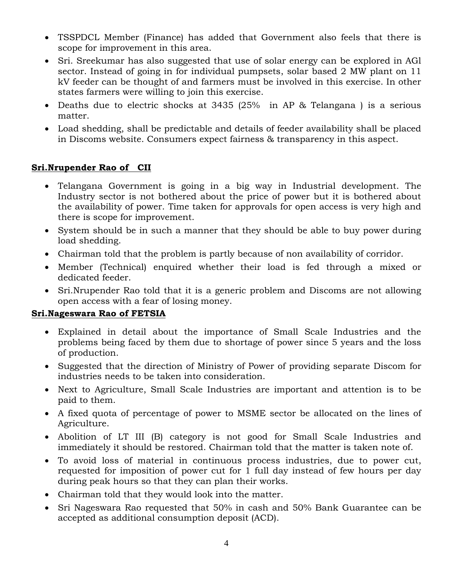- TSSPDCL Member (Finance) has added that Government also feels that there is scope for improvement in this area.
- Sri. Sreekumar has also suggested that use of solar energy can be explored in AGl sector. Instead of going in for individual pumpsets, solar based 2 MW plant on 11 kV feeder can be thought of and farmers must be involved in this exercise. In other states farmers were willing to join this exercise.
- Deaths due to electric shocks at 3435 (25% in AP & Telangana) is a serious matter.
- Load shedding, shall be predictable and details of feeder availability shall be placed in Discoms website. Consumers expect fairness & transparency in this aspect.

### **Sri.Nrupender Rao of CII**

- Telangana Government is going in a big way in Industrial development. The Industry sector is not bothered about the price of power but it is bothered about the availability of power. Time taken for approvals for open access is very high and there is scope for improvement.
- System should be in such a manner that they should be able to buy power during load shedding.
- Chairman told that the problem is partly because of non availability of corridor.
- Member (Technical) enquired whether their load is fed through a mixed or dedicated feeder.
- Sri.Nrupender Rao told that it is a generic problem and Discoms are not allowing open access with a fear of losing money.

### **Sri.Nageswara Rao of FETSIA**

- Explained in detail about the importance of Small Scale Industries and the problems being faced by them due to shortage of power since 5 years and the loss of production.
- Suggested that the direction of Ministry of Power of providing separate Discom for industries needs to be taken into consideration.
- Next to Agriculture, Small Scale Industries are important and attention is to be paid to them.
- A fixed quota of percentage of power to MSME sector be allocated on the lines of Agriculture.
- Abolition of LT III (B) category is not good for Small Scale Industries and immediately it should be restored. Chairman told that the matter is taken note of.
- To avoid loss of material in continuous process industries, due to power cut, requested for imposition of power cut for 1 full day instead of few hours per day during peak hours so that they can plan their works.
- Chairman told that they would look into the matter.
- Sri Nageswara Rao requested that 50% in cash and 50% Bank Guarantee can be accepted as additional consumption deposit (ACD).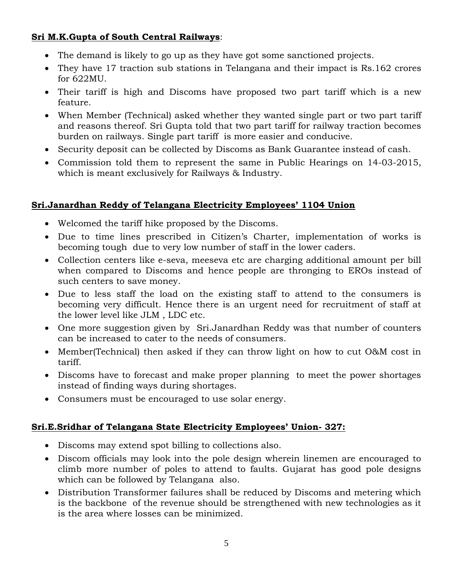# **Sri M.K.Gupta of South Central Railways**:

- The demand is likely to go up as they have got some sanctioned projects.
- They have 17 traction sub stations in Telangana and their impact is Rs.162 crores for 622MU.
- Their tariff is high and Discoms have proposed two part tariff which is a new feature.
- When Member (Technical) asked whether they wanted single part or two part tariff and reasons thereof. Sri Gupta told that two part tariff for railway traction becomes burden on railways. Single part tariff is more easier and conducive.
- Security deposit can be collected by Discoms as Bank Guarantee instead of cash.
- Commission told them to represent the same in Public Hearings on 14-03-2015, which is meant exclusively for Railways & Industry.

# **Sri.Janardhan Reddy of Telangana Electricity Employees' 1104 Union**

- Welcomed the tariff hike proposed by the Discoms.
- Due to time lines prescribed in Citizen's Charter, implementation of works is becoming tough due to very low number of staff in the lower caders.
- Collection centers like e-seva, meeseva etc are charging additional amount per bill when compared to Discoms and hence people are thronging to EROs instead of such centers to save money.
- Due to less staff the load on the existing staff to attend to the consumers is becoming very difficult. Hence there is an urgent need for recruitment of staff at the lower level like JLM , LDC etc.
- One more suggestion given by Sri.Janardhan Reddy was that number of counters can be increased to cater to the needs of consumers.
- Member(Technical) then asked if they can throw light on how to cut O&M cost in tariff.
- Discoms have to forecast and make proper planning to meet the power shortages instead of finding ways during shortages.
- Consumers must be encouraged to use solar energy.

# **Sri.E.Sridhar of Telangana State Electricity Employees' Union- 327:**

- Discoms may extend spot billing to collections also.
- Discom officials may look into the pole design wherein linemen are encouraged to climb more number of poles to attend to faults. Gujarat has good pole designs which can be followed by Telangana also.
- Distribution Transformer failures shall be reduced by Discoms and metering which is the backbone of the revenue should be strengthened with new technologies as it is the area where losses can be minimized.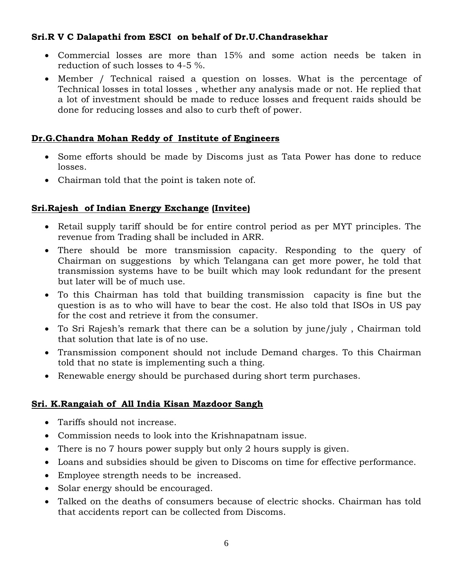### **Sri.R V C Dalapathi from ESCI on behalf of Dr.U.Chandrasekhar**

- Commercial losses are more than 15% and some action needs be taken in reduction of such losses to 4-5 %.
- Member / Technical raised a question on losses. What is the percentage of Technical losses in total losses , whether any analysis made or not. He replied that a lot of investment should be made to reduce losses and frequent raids should be done for reducing losses and also to curb theft of power.

## **Dr.G.Chandra Mohan Reddy of Institute of Engineers**

- Some efforts should be made by Discoms just as Tata Power has done to reduce losses.
- Chairman told that the point is taken note of.

# **Sri.Rajesh of Indian Energy Exchange (Invitee)**

- Retail supply tariff should be for entire control period as per MYT principles. The revenue from Trading shall be included in ARR.
- There should be more transmission capacity. Responding to the query of Chairman on suggestions by which Telangana can get more power, he told that transmission systems have to be built which may look redundant for the present but later will be of much use.
- To this Chairman has told that building transmission capacity is fine but the question is as to who will have to bear the cost. He also told that ISOs in US pay for the cost and retrieve it from the consumer.
- To Sri Rajesh's remark that there can be a solution by june/july , Chairman told that solution that late is of no use.
- Transmission component should not include Demand charges. To this Chairman told that no state is implementing such a thing.
- Renewable energy should be purchased during short term purchases.

# **Sri. K.Rangaiah of All India Kisan Mazdoor Sangh**

- Tariffs should not increase.
- Commission needs to look into the Krishnapatnam issue.
- There is no 7 hours power supply but only 2 hours supply is given.
- Loans and subsidies should be given to Discoms on time for effective performance.
- Employee strength needs to be increased.
- Solar energy should be encouraged.
- Talked on the deaths of consumers because of electric shocks. Chairman has told that accidents report can be collected from Discoms.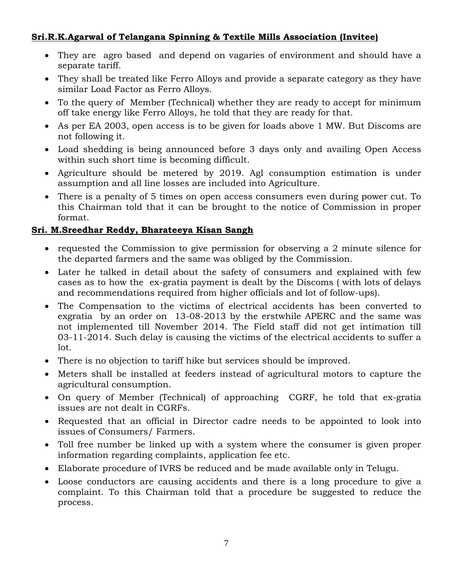## **Sri.R.K.Agarwal of Telangana Spinning & Textile Mills Association (Invitee)**

- They are agro based and depend on vagaries of environment and should have a separate tariff.
- They shall be treated like Ferro Alloys and provide a separate category as they have similar Load Factor as Ferro Alloys.
- To the query of Member (Technical) whether they are ready to accept for minimum off take energy like Ferro Alloys, he told that they are ready for that.
- As per EA 2003, open access is to be given for loads above 1 MW. But Discoms are not following it.
- Load shedding is being announced before 3 days only and availing Open Access within such short time is becoming difficult.
- Agriculture should be metered by 2019. Agl consumption estimation is under assumption and all line losses are included into Agriculture.
- There is a penalty of 5 times on open access consumers even during power cut. To this Chairman told that it can be brought to the notice of Commission in proper format.

### **Sri. M.Sreedhar Reddy, Bharateeya Kisan Sangh**

- requested the Commission to give permission for observing a 2 minute silence for the departed farmers and the same was obliged by the Commission.
- Later he talked in detail about the safety of consumers and explained with few cases as to how the ex-gratia payment is dealt by the Discoms ( with lots of delays and recommendations required from higher officials and lot of follow-ups).
- The Compensation to the victims of electrical accidents has been converted to exgratia by an order on 13-08-2013 by the erstwhile APERC and the same was not implemented till November 2014. The Field staff did not get intimation till 03-11-2014. Such delay is causing the victims of the electrical accidents to suffer a lot.
- There is no objection to tariff hike but services should be improved.
- Meters shall be installed at feeders instead of agricultural motors to capture the agricultural consumption.
- On query of Member (Technical) of approaching CGRF, he told that ex-gratia issues are not dealt in CGRFs.
- Requested that an official in Director cadre needs to be appointed to look into issues of Consumers/ Farmers.
- Toll free number be linked up with a system where the consumer is given proper information regarding complaints, application fee etc.
- Elaborate procedure of IVRS be reduced and be made available only in Telugu.
- Loose conductors are causing accidents and there is a long procedure to give a complaint. To this Chairman told that a procedure be suggested to reduce the process.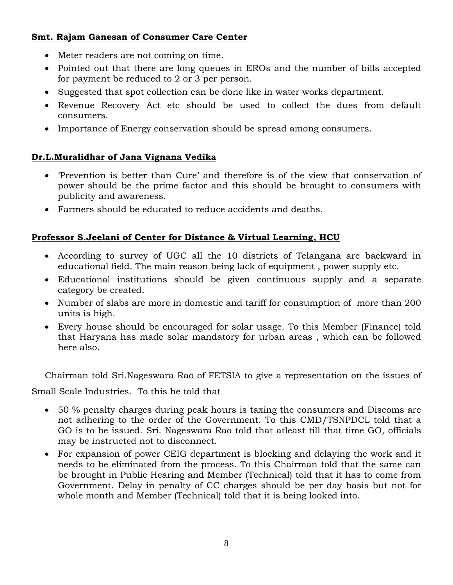## **Smt. Rajam Ganesan of Consumer Care Center**

- Meter readers are not coming on time.
- Pointed out that there are long queues in EROs and the number of bills accepted for payment be reduced to 2 or 3 per person.
- Suggested that spot collection can be done like in water works department.
- Revenue Recovery Act etc should be used to collect the dues from default consumers.
- Importance of Energy conservation should be spread among consumers.

# **Dr.L.Muralidhar of Jana Vignana Vedika**

- 'Prevention is better than Cure' and therefore is of the view that conservation of power should be the prime factor and this should be brought to consumers with publicity and awareness.
- Farmers should be educated to reduce accidents and deaths.

# **Professor S.Jeelani of Center for Distance & Virtual Learning, HCU**

- According to survey of UGC all the 10 districts of Telangana are backward in educational field. The main reason being lack of equipment , power supply etc.
- Educational institutions should be given continuous supply and a separate category be created.
- Number of slabs are more in domestic and tariff for consumption of more than 200 units is high.
- Every house should be encouraged for solar usage. To this Member (Finance) told that Haryana has made solar mandatory for urban areas , which can be followed here also.

Chairman told Sri.Nageswara Rao of FETSIA to give a representation on the issues of

Small Scale Industries. To this he told that

- 50 % penalty charges during peak hours is taxing the consumers and Discoms are not adhering to the order of the Government. To this CMD/TSNPDCL told that a GO is to be issued. Sri. Nageswara Rao told that atleast till that time GO, officials may be instructed not to disconnect.
- For expansion of power CEIG department is blocking and delaying the work and it needs to be eliminated from the process. To this Chairman told that the same can be brought in Public Hearing and Member (Technical) told that it has to come from Government. Delay in penalty of CC charges should be per day basis but not for whole month and Member (Technical) told that it is being looked into.